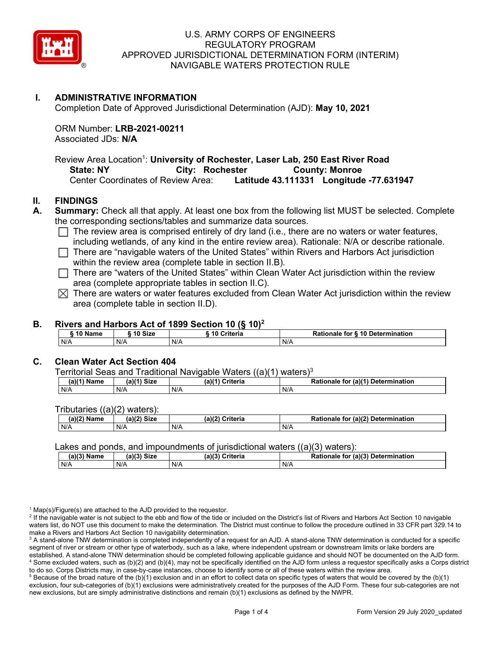

### **I. ADMINISTRATIVE INFORMATION**

Completion Date of Approved Jurisdictional Determination (AJD): **May 10, 2021**

ORM Number: **LRB-2021-00211** Associated JDs: **N/A**

Review Area Location<sup>1</sup>: **University of Rochester, Laser Lab, 250 East River Road State: NY** City: Rochester **County: Monroe** Center Coordinates of Review Area: **Latitude 43.111331 Longitude -77.631947**

#### **II. FINDINGS**

**A. Summary:** Check all that apply. At least one box from the following list MUST be selected. Complete the corresponding sections/tables and summarize data sources.

- $\Box$  The review area is comprised entirely of dry land (i.e., there are no waters or water features, including wetlands, of any kind in the entire review area). Rationale: N/A or describe rationale.
- $\Box$  There are "navigable waters of the United States" within Rivers and Harbors Act jurisdiction within the review area (complete table in section II.B).
- $\Box$  There are "waters of the United States" within Clean Water Act jurisdiction within the review area (complete appropriate tables in section II.C).
- $\boxtimes$  There are waters or water features excluded from Clean Water Act jurisdiction within the review area (complete table in section II.D).

#### **B. Rivers and Harbors Act of 1899 Section 10 (§ 10)2**

|     | 10 Name |     | 10 Size | 10 Criteria | Rationale<br><b>\ 10 Determination</b><br>for. |  |
|-----|---------|-----|---------|-------------|------------------------------------------------|--|
| N/A |         | N/A |         | N/A         | N/A                                            |  |

#### **C. Clean Water Act Section 404**

Territorial Seas and Traditional Navigable Waters ((a)(1) waters)3

| (a)(1) Name | -Size<br>(a) | $(a)$ <sup><math>(4)</math></sup><br>Criteria | .r (a)( <sup>⊿∵</sup><br><b>Determination</b><br>ionale<br>tor<br>Adl. |
|-------------|--------------|-----------------------------------------------|------------------------------------------------------------------------|
| N/A         | N/A          | N/A                                           | N/A                                                                    |

Tributaries ((a)(2) waters):

| $(a)(2)$ .<br>Name | (a)(2)<br>C <sub>1</sub><br>эızе | (a)(2)<br><b>Criteria</b> | (a)(2) Detern<br><b>Ration</b><br>rmination<br>for<br>nale |
|--------------------|----------------------------------|---------------------------|------------------------------------------------------------|
| N/A                | N/A                              | N/A                       | N/A                                                        |

#### Lakes and ponds, and impoundments of jurisdictional waters ((a)(3) waters):

| (a)(3)<br>Name | (a)(?')<br>Size ۱ | (a)(3) Criteria | Rationale for (a)(3) Determination |
|----------------|-------------------|-----------------|------------------------------------|
| N/A            | N/A               | N/A             | N/A                                |

 $1$  Map(s)/Figure(s) are attached to the AJD provided to the requestor.

<sup>2</sup> If the navigable water is not subject to the ebb and flow of the tide or included on the District's list of Rivers and Harbors Act Section 10 navigable waters list, do NOT use this document to make the determination. The District must continue to follow the procedure outlined in 33 CFR part 329.14 to make a Rivers and Harbors Act Section 10 navigability determination.

 $5$  Because of the broad nature of the (b)(1) exclusion and in an effort to collect data on specific types of waters that would be covered by the (b)(1) exclusion, four sub-categories of (b)(1) exclusions were administratively created for the purposes of the AJD Form. These four sub-categories are not new exclusions, but are simply administrative distinctions and remain (b)(1) exclusions as defined by the NWPR.

<sup>&</sup>lt;sup>3</sup> A stand-alone TNW determination is completed independently of a request for an AJD. A stand-alone TNW determination is conducted for a specific segment of river or stream or other type of waterbody, such as a lake, where independent upstream or downstream limits or lake borders are established. A stand-alone TNW determination should be completed following applicable guidance and should NOT be documented on the AJD form. <sup>4</sup> Some excluded waters, such as (b)(2) and (b)(4), may not be specifically identified on the AJD form unless a requestor specifically asks a Corps district to do so. Corps Districts may, in case-by-case instances, choose to identify some or all of these waters within the review area.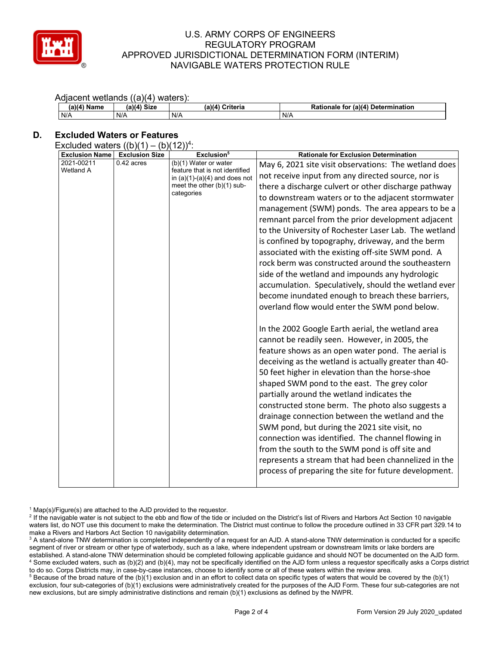

#### U.S. ARMY CORPS OF ENGINEERS REGULATORY PROGRAM APPROVED JURISDICTIONAL DETERMINATION FORM (INTERIM) NAVIGABLE WATERS PROTECTION RULE

#### Adiacent wetlands ((a)(4) waters).

| $(a)(4)$ Name | (a)(4) Size | (a)(4)<br>Criteria | Rationale for (a)(4) Determination |
|---------------|-------------|--------------------|------------------------------------|
| N/A           | N/A         | N/A                | N/A                                |

# **D. Excluded Waters or Features**

| Excluded waters $((b)(1) - (b)(12))^4$ : |  |  |  |  |  |  |  |
|------------------------------------------|--|--|--|--|--|--|--|
|------------------------------------------|--|--|--|--|--|--|--|

| <b>Exclusion Name</b> | <b>Exclusion Size</b> | Exclusion <sup>5</sup>                                                                                                                   | <b>Rationale for Exclusion Determination</b>          |
|-----------------------|-----------------------|------------------------------------------------------------------------------------------------------------------------------------------|-------------------------------------------------------|
| 2021-00211            | $0.42$ acres          | (b)(1) Water or water<br>feature that is not identified<br>in $(a)(1)-(a)(4)$ and does not<br>meet the other $(b)(1)$ sub-<br>categories | May 6, 2021 site visit observations: The wetland does |
| Wetland A             |                       |                                                                                                                                          | not receive input from any directed source, nor is    |
|                       |                       |                                                                                                                                          | there a discharge culvert or other discharge pathway  |
|                       |                       |                                                                                                                                          | to downstream waters or to the adjacent stormwater    |
|                       |                       |                                                                                                                                          | management (SWM) ponds. The area appears to be a      |
|                       |                       |                                                                                                                                          | remnant parcel from the prior development adjacent    |
|                       |                       |                                                                                                                                          | to the University of Rochester Laser Lab. The wetland |
|                       |                       |                                                                                                                                          | is confined by topography, driveway, and the berm     |
|                       |                       |                                                                                                                                          | associated with the existing off-site SWM pond. A     |
|                       |                       |                                                                                                                                          | rock berm was constructed around the southeastern     |
|                       |                       |                                                                                                                                          | side of the wetland and impounds any hydrologic       |
|                       |                       |                                                                                                                                          | accumulation. Speculatively, should the wetland ever  |
|                       |                       |                                                                                                                                          | become inundated enough to breach these barriers,     |
|                       |                       |                                                                                                                                          | overland flow would enter the SWM pond below.         |
|                       |                       |                                                                                                                                          |                                                       |
|                       |                       |                                                                                                                                          | In the 2002 Google Earth aerial, the wetland area     |
|                       |                       |                                                                                                                                          | cannot be readily seen. However, in 2005, the         |
|                       |                       |                                                                                                                                          | feature shows as an open water pond. The aerial is    |
|                       |                       |                                                                                                                                          | deceiving as the wetland is actually greater than 40- |
|                       |                       |                                                                                                                                          | 50 feet higher in elevation than the horse-shoe       |
|                       |                       |                                                                                                                                          |                                                       |
|                       |                       |                                                                                                                                          | shaped SWM pond to the east. The grey color           |
|                       |                       |                                                                                                                                          | partially around the wetland indicates the            |
|                       |                       |                                                                                                                                          | constructed stone berm. The photo also suggests a     |
|                       |                       |                                                                                                                                          | drainage connection between the wetland and the       |
|                       |                       |                                                                                                                                          | SWM pond, but during the 2021 site visit, no          |
|                       |                       |                                                                                                                                          | connection was identified. The channel flowing in     |
|                       |                       |                                                                                                                                          | from the south to the SWM pond is off site and        |
|                       |                       |                                                                                                                                          | represents a stream that had been channelized in the  |
|                       |                       |                                                                                                                                          | process of preparing the site for future development. |
|                       |                       |                                                                                                                                          |                                                       |

 $1$  Map(s)/Figure(s) are attached to the AJD provided to the requestor.

<sup>3</sup> A stand-alone TNW determination is completed independently of a request for an AJD. A stand-alone TNW determination is conducted for a specific segment of river or stream or other type of waterbody, such as a lake, where independent upstream or downstream limits or lake borders are established. A stand-alone TNW determination should be completed following applicable guidance and should NOT be documented on the AJD form. <sup>4</sup> Some excluded waters, such as (b)(2) and (b)(4), may not be specifically identified on the AJD form unless a requestor specifically asks a Corps district to do so. Corps Districts may, in case-by-case instances, choose to identify some or all of these waters within the review area.

<sup>5</sup> Because of the broad nature of the (b)(1) exclusion and in an effort to collect data on specific types of waters that would be covered by the (b)(1) exclusion, four sub-categories of (b)(1) exclusions were administratively created for the purposes of the AJD Form. These four sub-categories are not new exclusions, but are simply administrative distinctions and remain (b)(1) exclusions as defined by the NWPR.

<sup>&</sup>lt;sup>2</sup> If the navigable water is not subject to the ebb and flow of the tide or included on the District's list of Rivers and Harbors Act Section 10 navigable waters list, do NOT use this document to make the determination. The District must continue to follow the procedure outlined in 33 CFR part 329.14 to make a Rivers and Harbors Act Section 10 navigability determination.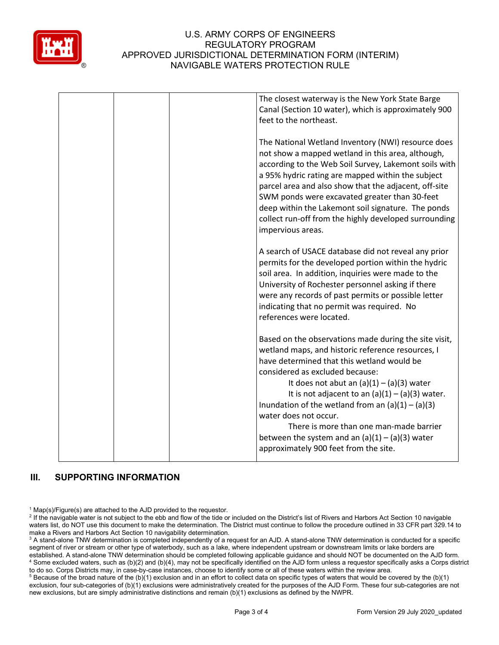

## U.S. ARMY CORPS OF ENGINEERS REGULATORY PROGRAM APPROVED JURISDICTIONAL DETERMINATION FORM (INTERIM) NAVIGABLE WATERS PROTECTION RULE

|  | The closest waterway is the New York State Barge<br>Canal (Section 10 water), which is approximately 900<br>feet to the northeast.                                                                                                                                                                                                                                                                                                                                                                                       |
|--|--------------------------------------------------------------------------------------------------------------------------------------------------------------------------------------------------------------------------------------------------------------------------------------------------------------------------------------------------------------------------------------------------------------------------------------------------------------------------------------------------------------------------|
|  | The National Wetland Inventory (NWI) resource does<br>not show a mapped wetland in this area, although,<br>according to the Web Soil Survey, Lakemont soils with<br>a 95% hydric rating are mapped within the subject<br>parcel area and also show that the adjacent, off-site<br>SWM ponds were excavated greater than 30-feet<br>deep within the Lakemont soil signature. The ponds<br>collect run-off from the highly developed surrounding<br>impervious areas.                                                      |
|  | A search of USACE database did not reveal any prior<br>permits for the developed portion within the hydric<br>soil area. In addition, inquiries were made to the<br>University of Rochester personnel asking if there<br>were any records of past permits or possible letter<br>indicating that no permit was required. No<br>references were located.                                                                                                                                                                   |
|  | Based on the observations made during the site visit,<br>wetland maps, and historic reference resources, I<br>have determined that this wetland would be<br>considered as excluded because:<br>It does not abut an $(a)(1) - (a)(3)$ water<br>It is not adjacent to an $(a)(1) - (a)(3)$ water.<br>Inundation of the wetland from an $(a)(1) - (a)(3)$<br>water does not occur.<br>There is more than one man-made barrier<br>between the system and an $(a)(1) - (a)(3)$ water<br>approximately 900 feet from the site. |

# **III. SUPPORTING INFORMATION**

 $1$  Map(s)/Figure(s) are attached to the AJD provided to the requestor.

<sup>2</sup> If the navigable water is not subject to the ebb and flow of the tide or included on the District's list of Rivers and Harbors Act Section 10 navigable waters list, do NOT use this document to make the determination. The District must continue to follow the procedure outlined in 33 CFR part 329.14 to make a Rivers and Harbors Act Section 10 navigability determination.

<sup>3</sup> A stand-alone TNW determination is completed independently of a request for an AJD. A stand-alone TNW determination is conducted for a specific segment of river or stream or other type of waterbody, such as a lake, where independent upstream or downstream limits or lake borders are established. A stand-alone TNW determination should be completed following applicable guidance and should NOT be documented on the AJD form. <sup>4</sup> Some excluded waters, such as (b)(2) and (b)(4), may not be specifically identified on the AJD form unless a requestor specifically asks a Corps district to do so. Corps Districts may, in case-by-case instances, choose to identify some or all of these waters within the review area.

 $5$  Because of the broad nature of the (b)(1) exclusion and in an effort to collect data on specific types of waters that would be covered by the (b)(1) exclusion, four sub-categories of (b)(1) exclusions were administratively created for the purposes of the AJD Form. These four sub-categories are not new exclusions, but are simply administrative distinctions and remain (b)(1) exclusions as defined by the NWPR.